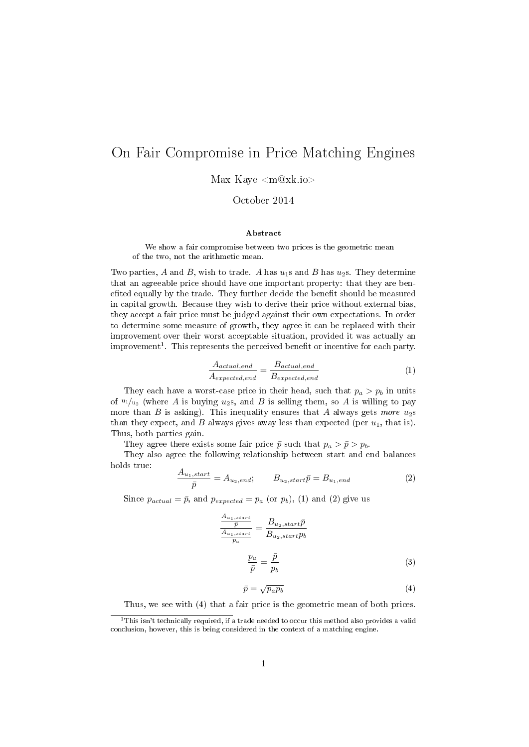## On Fair Compromise in Price Matching Engines

Max Kaye <m@xk.io>

October 2014

## Abstract

We show a fair compromise between two prices is the geometric mean of the two, not the arithmetic mean.

Two parties, A and B, wish to trade. A has  $u_1$ s and B has  $u_2$ s. They determine that an agreeable price should have one important property: that they are benefited equally by the trade. They further decide the benefit should be measured in capital growth. Because they wish to derive their price without external bias, they accept a fair price must be judged against their own expectations. In order to determine some measure of growth, they agree it can be replaced with their improvement over their worst acceptable situation, provided it was actually an improvement<sup>1</sup>. This represents the perceived benefit or incentive for each party.

$$
\frac{A_{actual,end}}{A_{expected,end}} = \frac{B_{actual,end}}{B_{expected,end}} \tag{1}
$$

They each have a worst-case price in their head, such that  $p_a > p_b$  in units of  $u_1/u_2$  (where A is buying  $u_2$ s, and B is selling them, so A is willing to pay more than  $B$  is asking). This inequality ensures that  $A$  always gets more  $u_2$ s than they expect, and B always gives away less than expected (per  $u_1$ , that is). Thus, both parties gain.

They agree there exists some fair price  $\bar{p}$  such that  $p_a > \bar{p} > p_b$ .

They also agree the following relationship between start and end balances holds true:

$$
\frac{A_{u_1,start}}{\bar{p}} = A_{u_2,end}; \qquad B_{u_2,start}\bar{p} = B_{u_1,end} \tag{2}
$$

Since  $p_{actual} = \bar{p}$ , and  $p_{expected} = p_a$  (or  $p_b$ ), (1) and (2) give us

$$
\frac{\frac{A_{u_1, start}}{\bar{p}}}{\frac{A_{u_1, start}}{p_a}} = \frac{B_{u_2, start}\bar{p}}{B_{u_2, start}p_b}
$$
\n
$$
\frac{p_a}{\bar{p}} = \frac{\bar{p}}{p_b}
$$
\n(3)

$$
\bar{p} = \sqrt{p_a p_b} \tag{4}
$$

Thus, we see with (4) that a fair price is the geometric mean of both prices.

 $\overline{11}$ This isn't technically required, if a trade needed to occur this method also provides a valid conclusion, however, this is being considered in the context of a matching engine.